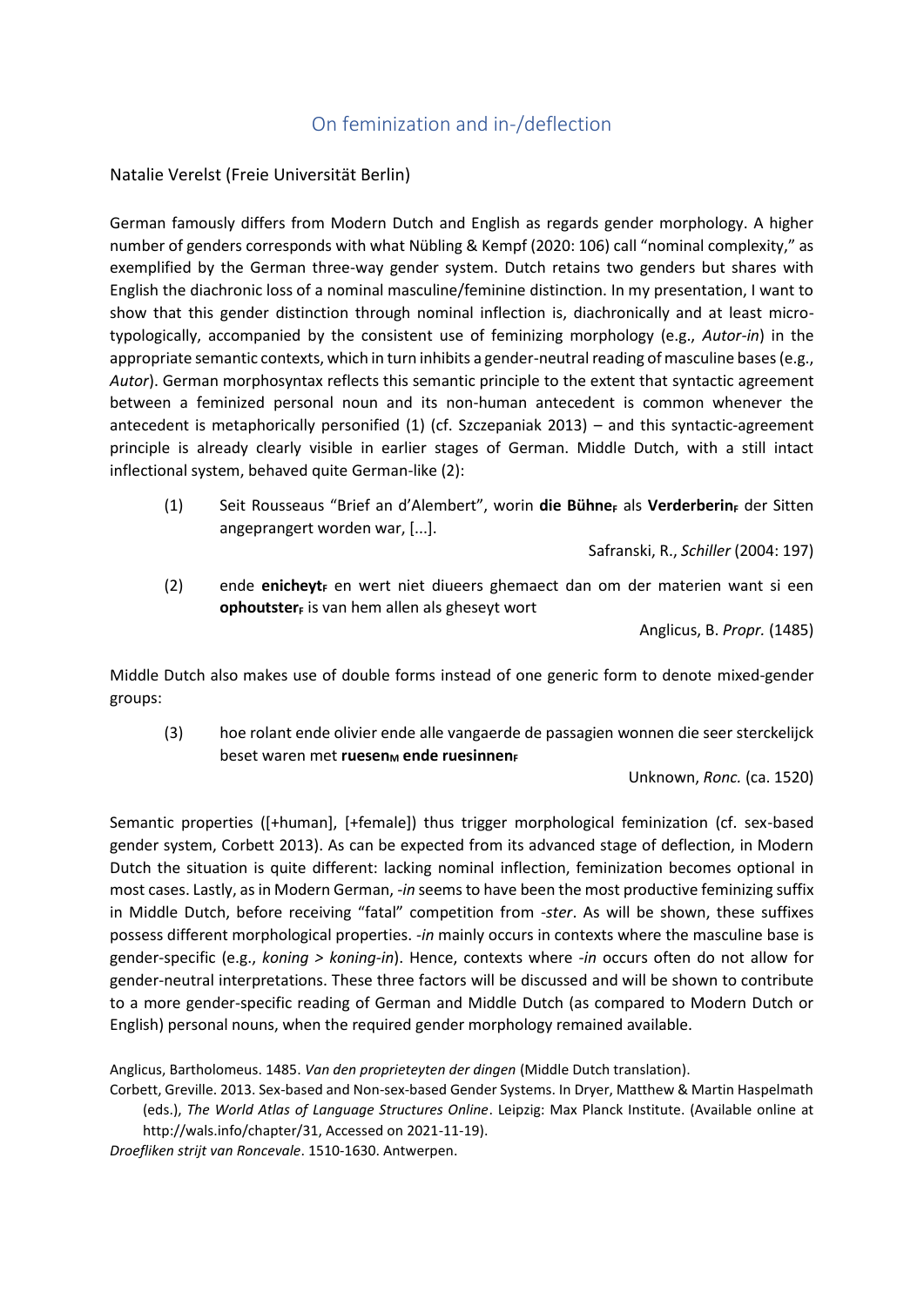## On feminization and in-/deflection

Natalie Verelst (Freie Universität Berlin)

German famously differs from Modern Dutch and English as regards gender morphology. A higher number of genders corresponds with what Nübling & Kempf (2020: 106) call "nominal complexity," as exemplified by the German three-way gender system. Dutch retains two genders but shares with English the diachronic loss of a nominal masculine/feminine distinction. In my presentation, I want to show that this gender distinction through nominal inflection is, diachronically and at least microtypologically, accompanied by the consistent use of feminizing morphology (e.g., *Autor-in*) in the appropriate semantic contexts, which in turn inhibits a gender-neutral reading of masculine bases (e.g., *Autor*). German morphosyntax reflects this semantic principle to the extent that syntactic agreement between a feminized personal noun and its non-human antecedent is common whenever the antecedent is metaphorically personified (1) (cf. Szczepaniak 2013) – and this syntactic-agreement principle is already clearly visible in earlier stages of German. Middle Dutch, with a still intact inflectional system, behaved quite German-like (2):

(1) Seit Rousseaus "Brief an d'Alembert", worin **die Bühne<sup>F</sup>** als **Verderberin<sup>F</sup>** der Sitten angeprangert worden war, [...].

Safranski, R., *Schiller* (2004: 197)

(2) ende **enicheyt<sup>F</sup>** en wert niet diueers ghemaect dan om der materien want si een **ophoutsterF** is van hem allen als gheseyt wort

Anglicus, B. *Propr.* (1485)

Middle Dutch also makes use of double forms instead of one generic form to denote mixed-gender groups:

(3) hoe rolant ende olivier ende alle vangaerde de passagien wonnen die seer sterckelijck **beset waren met ruesen<sub>M</sub> ende ruesinnenF** 

Unknown, *Ronc.* (ca. 1520)

Semantic properties ([+human], [+female]) thus trigger morphological feminization (cf. sex-based gender system, Corbett 2013). As can be expected from its advanced stage of deflection, in Modern Dutch the situation is quite different: lacking nominal inflection, feminization becomes optional in most cases. Lastly, as in Modern German, *-in* seems to have been the most productive feminizing suffix in Middle Dutch, before receiving "fatal" competition from *-ster*. As will be shown, these suffixes possess different morphological properties. *-in* mainly occurs in contexts where the masculine base is gender-specific (e.g., *koning > koning-in*). Hence, contexts where *-in* occurs often do not allow for gender-neutral interpretations. These three factors will be discussed and will be shown to contribute to a more gender-specific reading of German and Middle Dutch (as compared to Modern Dutch or English) personal nouns, when the required gender morphology remained available.

Anglicus, Bartholomeus. 1485. *Van den proprieteyten der dingen* (Middle Dutch translation).

Corbett, Greville. 2013. Sex-based and Non-sex-based Gender Systems. In Dryer, Matthew & Martin Haspelmath (eds.), *The World Atlas of Language Structures Online*. Leipzig: Max Planck Institute. (Available online at http://wals.info/chapter/31, Accessed on 2021-11-19).

*Droefliken strijt van Roncevale*. 1510-1630. Antwerpen.